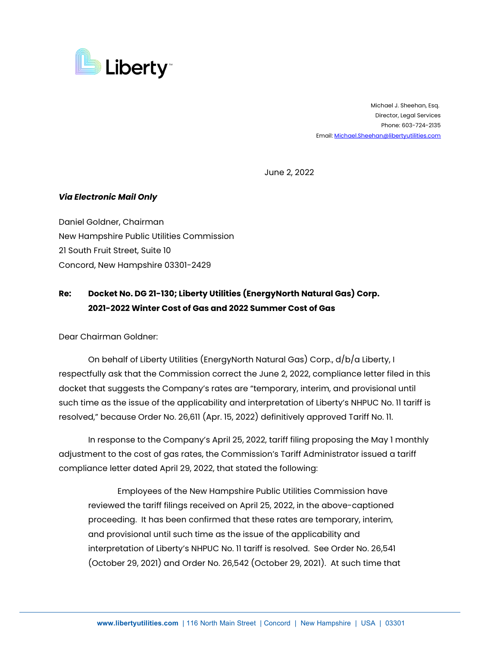

 Michael J. Sheehan, Esq. Director, Legal Services Phone: 603-724-2135 Email[: Michael.Sheehan@libertyutilities.com](mailto:Michael.Sheehan@libertyutilities.com)

June 2, 2022

## *Via Electronic Mail Only*

Daniel Goldner, Chairman New Hampshire Public Utilities Commission 21 South Fruit Street, Suite 10 Concord, New Hampshire 03301-2429

## **Re: Docket No. DG 21-130; Liberty Utilities (EnergyNorth Natural Gas) Corp. 2021-2022 Winter Cost of Gas and 2022 Summer Cost of Gas**

Dear Chairman Goldner:

On behalf of Liberty Utilities (EnergyNorth Natural Gas) Corp., d/b/a Liberty, I respectfully ask that the Commission correct the June 2, 2022, compliance letter filed in this docket that suggests the Company's rates are "temporary, interim, and provisional until such time as the issue of the applicability and interpretation of Liberty's NHPUC No. 11 tariff is resolved," because Order No. 26,611 (Apr. 15, 2022) definitively approved Tariff No. 11.

In response to the Company's April 25, 2022, tariff filing proposing the May 1 monthly adjustment to the cost of gas rates, the Commission's Tariff Administrator issued a tariff compliance letter dated April 29, 2022, that stated the following:

Employees of the New Hampshire Public Utilities Commission have reviewed the tariff filings received on April 25, 2022, in the above-captioned proceeding. It has been confirmed that these rates are temporary, interim, and provisional until such time as the issue of the applicability and interpretation of Liberty's NHPUC No. 11 tariff is resolved. See Order No. 26,541 (October 29, 2021) and Order No. 26,542 (October 29, 2021). At such time that